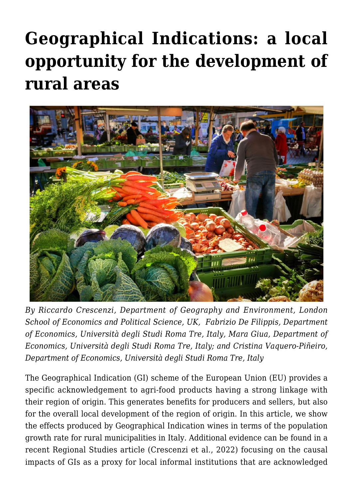# **[Geographical Indications: a local](https://regions.regionalstudies.org/ezine/article/issue-12-geographical-indications/) [opportunity for the development of](https://regions.regionalstudies.org/ezine/article/issue-12-geographical-indications/) [rural areas](https://regions.regionalstudies.org/ezine/article/issue-12-geographical-indications/)**



*By [Riccardo Crescenzi](https://regions.regionalstudies.org/r.crescenzi@lse.ac.uk), Department of Geography and Environment, London School of Economics and Political Science, UK, [Fabrizio De Filippis,](https://regions.regionalstudies.org/fabrizio.defilippis@uniroma3.it) Department of Economics, Università degli Studi Roma Tre, Italy, [Mara Giua, D](https://regions.regionalstudies.org/mara.giua@uniroma3.it)epartment of Economics, Università degli Studi Roma Tre, Italy; and [Cristina Vaquero-Piñeiro,](https://regions.regionalstudies.org/cristina.vaqueropineiro@uniroma3.it) Department of Economics, Università degli Studi Roma Tre, Italy*

The Geographical Indication (GI) scheme of the European Union (EU) provides a specific acknowledgement to agri-food products having a strong linkage with their region of origin. This generates benefits for producers and sellers, but also for the overall local development of the region of origin. In this article, we show the effects produced by Geographical Indication wines in terms of the population growth rate for rural municipalities in Italy. Additional evidence can be found in a recent Regional Studies article [\(Crescenzi et al., 2022\)](https://www.tandfonline.com/doi/full/10.1080/00343404.2021.1946499) focusing on the causal impacts of GIs as a proxy for local informal institutions that are acknowledged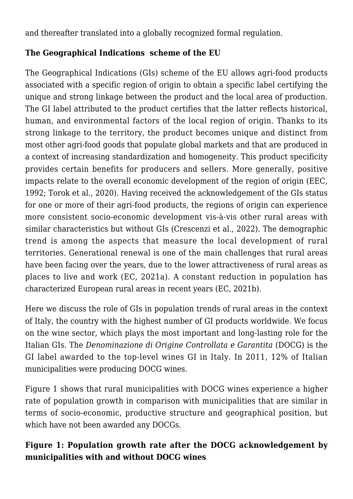and thereafter translated into a globally recognized formal regulation.

### **The Geographical Indications scheme of the EU**

The Geographical Indications (GIs) scheme of the EU allows agri-food products associated with a specific region of origin to obtain a specific label certifying the unique and strong linkage between the product and the local area of production. The GI label attributed to the product certifies that the latter reflects historical, human, and environmental factors of the local region of origin. Thanks to its strong linkage to the territory, the product becomes unique and distinct from most other agri-food goods that populate global markets and that are produced in a context of increasing standardization and homogeneity. This product specificity provides certain benefits for producers and sellers. More generally, positive impacts relate to the overall economic development of the region of origin (EEC, 1992; Torok et al., 2020). Having received the acknowledgement of the GIs status for one or more of their agri-food products, the regions of origin can experience more consistent socio-economic development vis-à-vis other rural areas with similar characteristics but without GIs ([Crescenzi et al., 2022](https://www.tandfonline.com/doi/full/10.1080/00343404.2021.1946499)). The demographic trend is among the aspects that measure the local development of rural territories. Generational renewal is one of the main challenges that rural areas have been facing over the years, due to the lower attractiveness of rural areas as places to live and work (EC, 2021a). A constant reduction in population has characterized European rural areas in recent years (EC, 2021b).

Here we discuss the role of GIs in population trends of rural areas in the context of Italy, the country with the highest number of GI products worldwide. We focus on the wine sector, which plays the most important and long-lasting role for the Italian GIs. The *[Denominazione di Origine Controllata e Garantita](https://www.assolatte.it/it/home/salute_benessere_detail/1469702889008/1469703610715)* (DOCG) is the GI label awarded to the top-level wines GI in Italy. In 2011, 12% of Italian municipalities were producing DOCG wines.

Figure 1 shows that rural municipalities with DOCG wines experience a higher rate of population growth in comparison with municipalities that are similar in terms of socio-economic, productive structure and geographical position, but which have not been awarded any DOCGs.

## **Figure 1: Population growth rate after the DOCG acknowledgement by municipalities with and without DOCG wines**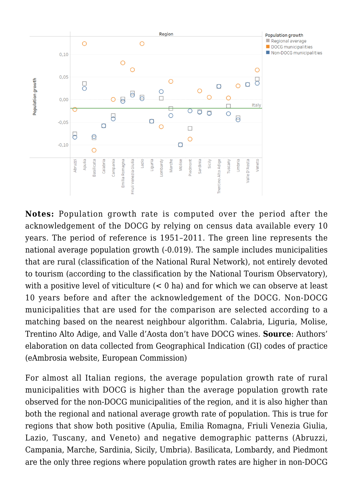

**Notes:** Population growth rate is computed over the period after the acknowledgement of the DOCG by relying on census data available every 10 years. The period of reference is 1951–2011. The green line represents the national average population growth (-0.019). The sample includes municipalities that are rural (classification of the National Rural Network), not entirely devoted to tourism (according to the classification by the National Tourism Observatory), with a positive level of viticulture  $(< 0$  ha) and for which we can observe at least 10 years before and after the acknowledgement of the DOCG. Non-DOCG municipalities that are used for the comparison are selected according to a matching based on the nearest neighbour algorithm. Calabria, Liguria, Molise, Trentino Alto Adige, and Valle d'Aosta don't have DOCG wines. **Source**: Authors' elaboration on data collected from Geographical Indication (GI) codes of practice [\(eAmbrosia website, European Commission\)](https://ec.europa.eu/info/food-farming-fisheries/food-safety-and-quality/certification/quality-labels/geographical-indications-register/)

For almost all Italian regions, the average population growth rate of rural municipalities with DOCG is higher than the average population growth rate observed for the non-DOCG municipalities of the region, and it is also higher than both the regional and national average growth rate of population. This is true for regions that show both positive (Apulia, Emilia Romagna, Friuli Venezia Giulia, Lazio, Tuscany, and Veneto) and negative demographic patterns (Abruzzi, Campania, Marche, Sardinia, Sicily, Umbria). Basilicata, Lombardy, and Piedmont are the only three regions where population growth rates are higher in non-DOCG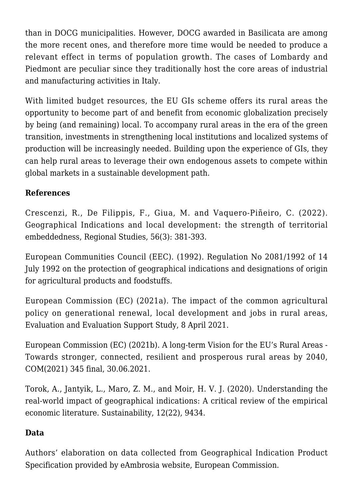than in DOCG municipalities. However, DOCG awarded in Basilicata are among the more recent ones, and therefore more time would be needed to produce a relevant effect in terms of population growth. The cases of Lombardy and Piedmont are peculiar since they traditionally host the core areas of industrial and manufacturing activities in Italy.

With limited budget resources, the EU GIs scheme offers its rural areas the opportunity to become part of and benefit from economic globalization precisely by being (and remaining) local. To accompany rural areas in the era of the green transition, investments in strengthening local institutions and localized systems of production will be increasingly needed. Building upon the experience of GIs, they can help rural areas to leverage their own endogenous assets to compete within global markets in a sustainable development path.

### **References**

Crescenzi, R., De Filippis, F., Giua, M. and Vaquero-Piñeiro, C. (2022). [Geographical Indications and local development: the strength of territorial](https://www.tandfonline.com/doi/full/10.1080/00343404.2021.1946499) [embeddedness](https://www.tandfonline.com/doi/full/10.1080/00343404.2021.1946499), Regional Studies, 56(3): 381-393.

European Communities Council (EEC). (1992). [Regulation No 2081/1992 of 14](https://eur-lex.europa.eu/legal-content/EN/TXT/?uri=celex%3A31992R2081) [July 1992 on the protection of geographical indications and designations of origin](https://eur-lex.europa.eu/legal-content/EN/TXT/?uri=celex%3A31992R2081) [for agricultural products and foodstuffs.](https://eur-lex.europa.eu/legal-content/EN/TXT/?uri=celex%3A31992R2081)

European Commission (EC) (2021a). [The impact of the common agricultural](https://ec.europa.eu/info/food-farming-fisheries/key-policies/common-agricultural-policy/cmef/rural-areas/impact-common-agricultural-policy-generational-renewal-local-development-and-jobs-rural-areas_en) [policy on generational renewal, local development and jobs in rural areas,](https://ec.europa.eu/info/food-farming-fisheries/key-policies/common-agricultural-policy/cmef/rural-areas/impact-common-agricultural-policy-generational-renewal-local-development-and-jobs-rural-areas_en) Evaluation and Evaluation Support Study, 8 April 2021.

European Commission (EC) (2021b). [A long-term Vision for the EU's Rural Areas -](https://enrd.ec.europa.eu/enrd-thematic-work/long-term-rural-vision_en) [Towards stronger, connected, resilient and prosperous rural areas by 2040,](https://enrd.ec.europa.eu/enrd-thematic-work/long-term-rural-vision_en) COM(2021) 345 final, 30.06.2021.

Torok, A., Jantyik, L., Maro, Z. M., and Moir, H. V. J. (2020). [Understanding the](https://www.mdpi.com/2071-1050/12/22/9434) [real-world impact of geographical indications: A critical review of the empirical](https://www.mdpi.com/2071-1050/12/22/9434) [economic literature.](https://www.mdpi.com/2071-1050/12/22/9434) Sustainability, 12(22), 9434.

#### **Data**

Authors' elaboration on data collected from Geographical Indication Product Specification provided by [eAmbrosia website, European Commission.](https://ec.europa.eu/info/food-farming-fisheries/food-safety-and-quality/certification/quality-labels/geographical-indications-register/)